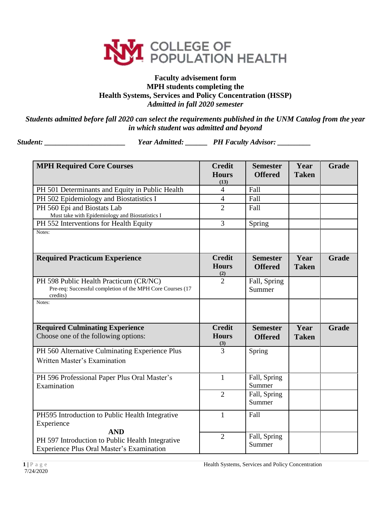

## **Faculty advisement form MPH students completing the Health Systems, Services and Policy Concentration (HSSP)** *Admitted in fall 2020 semester*

*Students admitted before fall 2020 can select the requirements published in the UNM Catalog from the year in which student was admitted and beyond*

*Student: \_\_\_\_\_\_\_\_\_\_\_\_\_\_\_\_\_\_\_\_\_\_ Year Admitted: \_\_\_\_\_\_ PH Faculty Advisor: \_\_\_\_\_\_\_\_\_*

| <b>MPH Required Core Courses</b>                                                                                 | <b>Credit</b><br><b>Hours</b>        | <b>Semester</b><br><b>Offered</b> | Year<br><b>Taken</b> | Grade        |
|------------------------------------------------------------------------------------------------------------------|--------------------------------------|-----------------------------------|----------------------|--------------|
|                                                                                                                  | (13)<br>$\overline{4}$               | Fall                              |                      |              |
| PH 501 Determinants and Equity in Public Health                                                                  |                                      |                                   |                      |              |
| PH 502 Epidemiology and Biostatistics I                                                                          | $\overline{4}$                       | Fall                              |                      |              |
| PH 560 Epi and Biostats Lab<br>Must take with Epidemiology and Biostatistics I                                   | $\overline{2}$                       | Fall                              |                      |              |
| PH 552 Interventions for Health Equity                                                                           | $\overline{3}$                       | Spring                            |                      |              |
| Notes:                                                                                                           |                                      |                                   |                      |              |
| <b>Required Practicum Experience</b>                                                                             | <b>Credit</b><br><b>Hours</b><br>(2) | <b>Semester</b><br><b>Offered</b> | Year<br><b>Taken</b> | <b>Grade</b> |
| PH 598 Public Health Practicum (CR/NC)<br>Pre-req: Successful completion of the MPH Core Courses (17<br>credits) | $\overline{2}$                       | Fall, Spring<br>Summer            |                      |              |
| Notes:                                                                                                           |                                      |                                   |                      |              |
| <b>Required Culminating Experience</b><br>Choose one of the following options:                                   | <b>Credit</b><br><b>Hours</b><br>(3) | <b>Semester</b><br><b>Offered</b> | Year<br><b>Taken</b> | <b>Grade</b> |
| PH 560 Alternative Culminating Experience Plus<br>Written Master's Examination                                   | $\overline{3}$                       | Spring                            |                      |              |
| PH 596 Professional Paper Plus Oral Master's<br>Examination                                                      | $\mathbf{1}$                         | Fall, Spring<br>Summer            |                      |              |
|                                                                                                                  | $\overline{2}$                       | Fall, Spring<br>Summer            |                      |              |
| PH595 Introduction to Public Health Integrative<br>Experience                                                    | $\mathbf{1}$                         | Fall                              |                      |              |
| <b>AND</b><br>PH 597 Introduction to Public Health Integrative<br>Experience Plus Oral Master's Examination      | $\overline{2}$                       | Fall, Spring<br>Summer            |                      |              |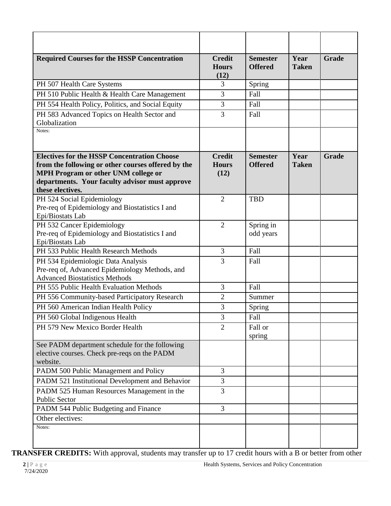| <b>Required Courses for the HSSP Concentration</b>                                                                            | <b>Credit</b><br><b>Hours</b><br>(12) | <b>Semester</b><br><b>Offered</b> | Year<br><b>Taken</b> | Grade |
|-------------------------------------------------------------------------------------------------------------------------------|---------------------------------------|-----------------------------------|----------------------|-------|
| PH 507 Health Care Systems                                                                                                    | 3                                     | Spring                            |                      |       |
| PH 510 Public Health & Health Care Management                                                                                 | 3                                     | Fall                              |                      |       |
| PH 554 Health Policy, Politics, and Social Equity                                                                             | 3                                     | Fall                              |                      |       |
| PH 583 Advanced Topics on Health Sector and<br>Globalization                                                                  | 3                                     | Fall                              |                      |       |
| Notes:                                                                                                                        |                                       |                                   |                      |       |
|                                                                                                                               |                                       |                                   |                      |       |
| <b>Electives for the HSSP Concentration Choose</b><br>from the following or other courses offered by the                      | <b>Credit</b><br><b>Hours</b>         | <b>Semester</b><br><b>Offered</b> | Year<br><b>Taken</b> | Grade |
| MPH Program or other UNM college or                                                                                           | (12)                                  |                                   |                      |       |
| departments. Your faculty advisor must approve<br>these electives.                                                            |                                       |                                   |                      |       |
| PH 524 Social Epidemiology<br>Pre-req of Epidemiology and Biostatistics I and<br>Epi/Biostats Lab                             | $\overline{2}$                        | <b>TBD</b>                        |                      |       |
| PH 532 Cancer Epidemiology<br>Pre-req of Epidemiology and Biostatistics I and<br>Epi/Biostats Lab                             | $\overline{2}$                        | Spring in<br>odd years            |                      |       |
| PH 533 Public Health Research Methods                                                                                         | 3                                     | Fall                              |                      |       |
| PH 534 Epidemiologic Data Analysis<br>Pre-req of, Advanced Epidemiology Methods, and<br><b>Advanced Biostatistics Methods</b> | 3                                     | Fall                              |                      |       |
| PH 555 Public Health Evaluation Methods                                                                                       | 3                                     | Fall                              |                      |       |
| PH 556 Community-based Participatory Research                                                                                 | $\overline{2}$                        | Summer                            |                      |       |
| PH 560 American Indian Health Policy                                                                                          | 3                                     | Spring                            |                      |       |
| PH 560 Global Indigenous Health                                                                                               | 3                                     | Fall                              |                      |       |
| PH 579 New Mexico Border Health                                                                                               | $\overline{2}$                        | Fall or<br>spring                 |                      |       |
| See PADM department schedule for the following<br>elective courses. Check pre-reqs on the PADM<br>website.                    |                                       |                                   |                      |       |
| PADM 500 Public Management and Policy                                                                                         | $\overline{3}$                        |                                   |                      |       |
| PADM 521 Institutional Development and Behavior                                                                               | 3                                     |                                   |                      |       |
| PADM 525 Human Resources Management in the<br><b>Public Sector</b>                                                            | 3                                     |                                   |                      |       |
| PADM 544 Public Budgeting and Finance                                                                                         | $\overline{3}$                        |                                   |                      |       |
| Other electives:                                                                                                              |                                       |                                   |                      |       |
| Notes:                                                                                                                        |                                       |                                   |                      |       |

**TRANSFER CREDITS:** With approval, students may transfer up to 17 credit hours with a B or better from other